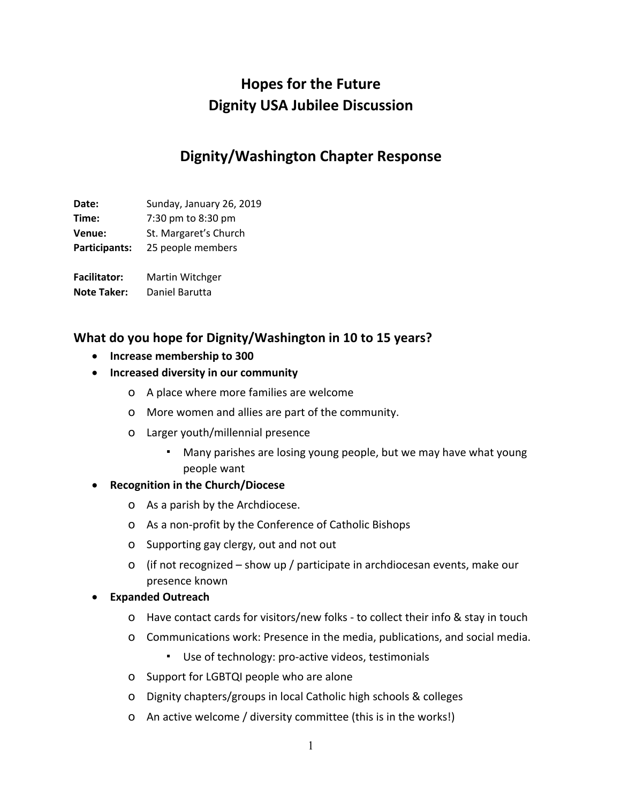# **Hopes for the Future Dignity USA Jubilee Discussion**

# **Dignity/Washington Chapter Response**

**Date:** Sunday, January 26, 2019 **Time:** 7:30 pm to 8:30 pm

**Venue:** St. Margaret's Church **Participants:** 25 people members

**Facilitator:** Martin Witchger

**Note Taker:** Daniel Barutta

### **What do you hope for Dignity/Washington in 10 to 15 years?**

- **Increase membership to 300**
- **Increased diversity in our community**
	- o A place where more families are welcome
	- o More women and allies are part of the community.
	- o Larger youth/millennial presence
		- Many parishes are losing young people, but we may have what young people want

#### • **Recognition in the Church/Diocese**

- o As a parish by the Archdiocese.
- o As a non-profit by the Conference of Catholic Bishops
- o Supporting gay clergy, out and not out
- o (if not recognized show up / participate in archdiocesan events, make our presence known

#### • **Expanded Outreach**

- o Have contact cards for visitors/new folks to collect their info & stay in touch
- o Communications work: Presence in the media, publications, and social media.
	- Use of technology: pro-active videos, testimonials
- o Support for LGBTQI people who are alone
- o Dignity chapters/groups in local Catholic high schools & colleges
- o An active welcome / diversity committee (this is in the works!)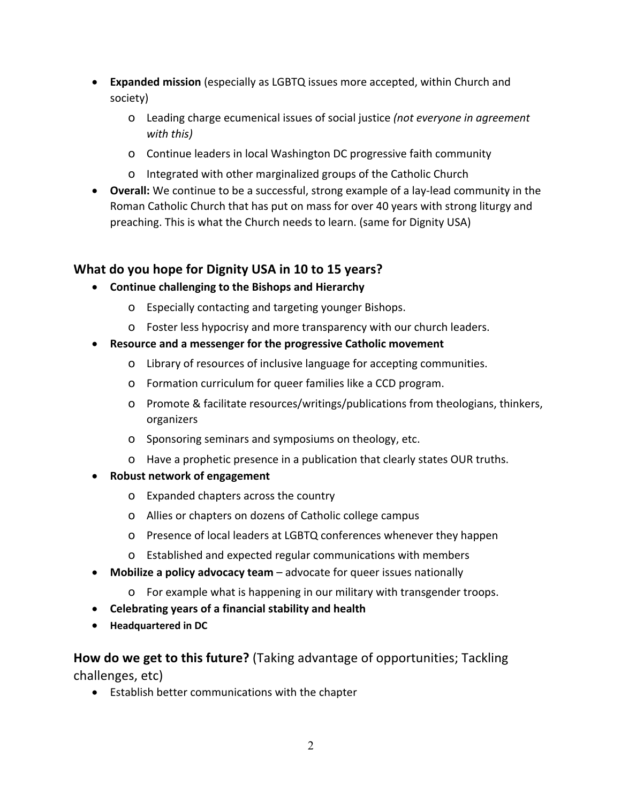- **Expanded mission** (especially as LGBTQ issues more accepted, within Church and society)
	- o Leading charge ecumenical issues of social justice *(not everyone in agreement with this)*
	- o Continue leaders in local Washington DC progressive faith community
	- o Integrated with other marginalized groups of the Catholic Church
- **Overall:** We continue to be a successful, strong example of a lay-lead community in the Roman Catholic Church that has put on mass for over 40 years with strong liturgy and preaching. This is what the Church needs to learn. (same for Dignity USA)

## **What do you hope for Dignity USA in 10 to 15 years?**

- **Continue challenging to the Bishops and Hierarchy**
	- o Especially contacting and targeting younger Bishops.
	- o Foster less hypocrisy and more transparency with our church leaders.
- **Resource and a messenger for the progressive Catholic movement**
	- o Library of resources of inclusive language for accepting communities.
	- o Formation curriculum for queer families like a CCD program.
	- o Promote & facilitate resources/writings/publications from theologians, thinkers, organizers
	- o Sponsoring seminars and symposiums on theology, etc.
	- o Have a prophetic presence in a publication that clearly states OUR truths.
- **Robust network of engagement**
	- o Expanded chapters across the country
	- o Allies or chapters on dozens of Catholic college campus
	- o Presence of local leaders at LGBTQ conferences whenever they happen
	- o Established and expected regular communications with members
- **Mobilize a policy advocacy team** advocate for queer issues nationally
	- o For example what is happening in our military with transgender troops.
- **Celebrating years of a financial stability and health**
- **Headquartered in DC**

**How do we get to this future?** (Taking advantage of opportunities; Tackling challenges, etc)

• Establish better communications with the chapter